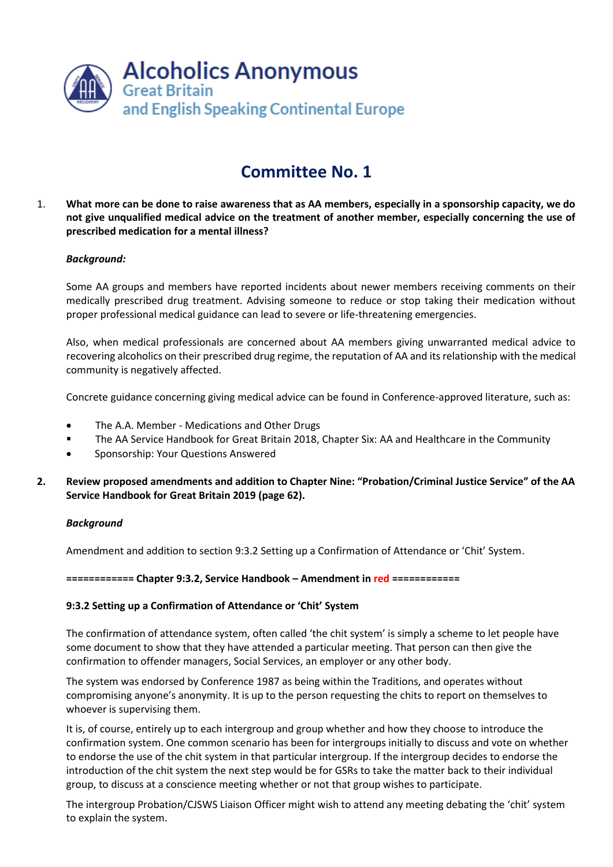

1. **What more can be done to raise awareness that as AA members, especially in a sponsorship capacity, we do not give unqualified medical advice on the treatment of another member, especially concerning the use of prescribed medication for a mental illness?** 

### *Background:*

Some AA groups and members have reported incidents about newer members receiving comments on their medically prescribed drug treatment. Advising someone to reduce or stop taking their medication without proper professional medical guidance can lead to severe or life-threatening emergencies.

Also, when medical professionals are concerned about AA members giving unwarranted medical advice to recovering alcoholics on their prescribed drug regime, the reputation of AA and its relationship with the medical community is negatively affected.

Concrete guidance concerning giving medical advice can be found in Conference-approved literature, such as:

- The A.A. Member Medications and Other Drugs
- The AA Service Handbook for Great Britain 2018, Chapter Six: AA and Healthcare in the Community
- **•** Sponsorship: Your Questions Answered
- **2. Review proposed amendments and addition to Chapter Nine: "Probation/Criminal Justice Service" of the AA Service Handbook for Great Britain 2019 (page 62).**

#### *Background*

Amendment and addition to section 9:3.2 Setting up a Confirmation of Attendance or 'Chit' System.

**============ Chapter 9:3.2, Service Handbook – Amendment in red ============**

### **9:3.2 Setting up a Confirmation of Attendance or 'Chit' System**

The confirmation of attendance system, often called 'the chit system' is simply a scheme to let people have some document to show that they have attended a particular meeting. That person can then give the confirmation to offender managers, Social Services, an employer or any other body.

The system was endorsed by Conference 1987 as being within the Traditions, and operates without compromising anyone's anonymity. It is up to the person requesting the chits to report on themselves to whoever is supervising them.

It is, of course, entirely up to each intergroup and group whether and how they choose to introduce the confirmation system. One common scenario has been for intergroups initially to discuss and vote on whether to endorse the use of the chit system in that particular intergroup. If the intergroup decides to endorse the introduction of the chit system the next step would be for GSRs to take the matter back to their individual group, to discuss at a conscience meeting whether or not that group wishes to participate.

The intergroup Probation/CJSWS Liaison Officer might wish to attend any meeting debating the 'chit' system to explain the system.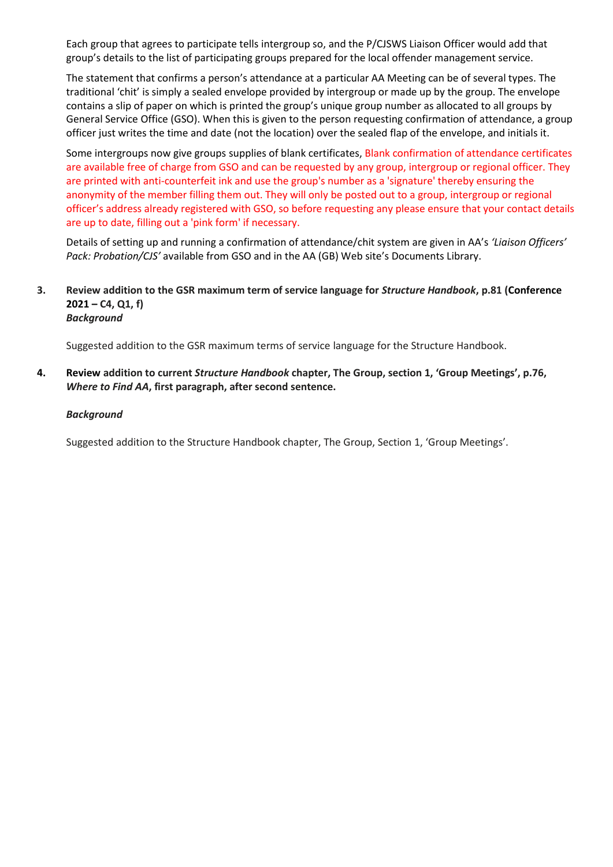Each group that agrees to participate tells intergroup so, and the P/CJSWS Liaison Officer would add that group's details to the list of participating groups prepared for the local offender management service.

The statement that confirms a person's attendance at a particular AA Meeting can be of several types. The traditional 'chit' is simply a sealed envelope provided by intergroup or made up by the group. The envelope contains a slip of paper on which is printed the group's unique group number as allocated to all groups by General Service Office (GSO). When this is given to the person requesting confirmation of attendance, a group officer just writes the time and date (not the location) over the sealed flap of the envelope, and initials it.

Some intergroups now give groups supplies of blank certificates, Blank confirmation of attendance certificates are available free of charge from GSO and can be requested by any group, intergroup or regional officer. They are printed with anti-counterfeit ink and use the group's number as a 'signature' thereby ensuring the anonymity of the member filling them out. They will only be posted out to a group, intergroup or regional officer's address already registered with GSO, so before requesting any please ensure that your contact details are up to date, filling out a ['pink form'](https://www.alcoholics-anonymous.org.uk/AA-Meetings/Submit-Your-Meeting-Information-(Pink-Form)) if necessary.

Details of setting up and running a confirmation of attendance/chit system are given in AA's *'Liaison Officers' Pack: Probation/CJS'* available from GSO and in the AA (GB) Web site's Documents Library.

### **3. Review addition to the GSR maximum term of service language for** *Structure Handbook***, p.81 (Conference 2021 – C4, Q1, f)** *Background*

Suggested addition to the GSR maximum terms of service language for the Structure Handbook.

**4. Review addition to current** *Structure Handbook* **chapter, The Group, section 1, 'Group Meetings', p.76,**  *Where to Find AA***, first paragraph, after second sentence.**

#### *Background*

Suggested addition to the Structure Handbook chapter, The Group, Section 1, 'Group Meetings'.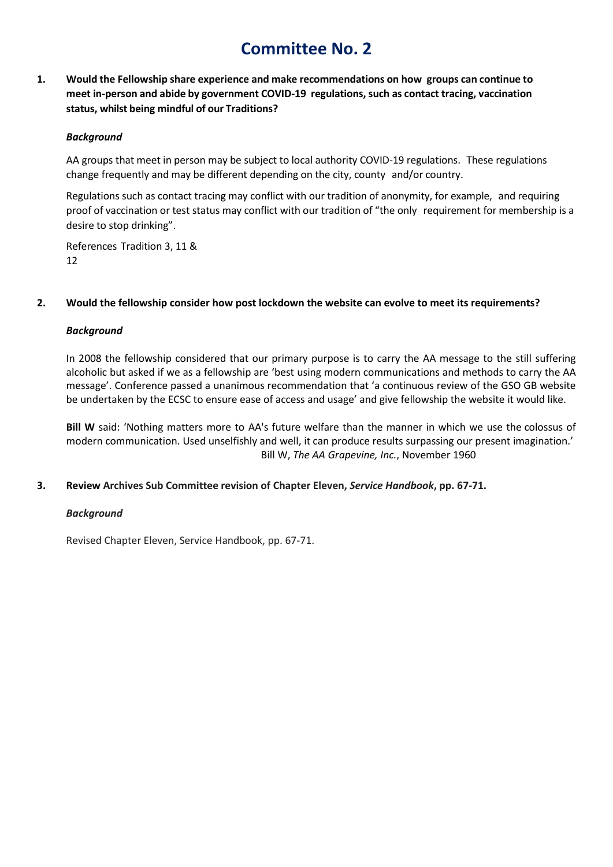**1. Would the Fellowship share experience and make recommendations on how groups can continue to meet in-person and abide by government COVID-19 regulations, such as contact tracing, vaccination status, whilst being mindful of our Traditions?**

### *Background*

AA groups that meet in person may be subject to local authority COVID-19 regulations. These regulations change frequently and may be different depending on the city, county and/or country.

Regulations such as contact tracing may conflict with our tradition of anonymity, for example, and requiring proof of vaccination or test status may conflict with our tradition of "the only requirement for membership is a desire to stop drinking".

References Tradition 3, 11 & 12

### **2. Would the fellowship consider how post lockdown the website can evolve to meet its requirements?**

### *Background*

In 2008 the fellowship considered that our primary purpose is to carry the AA message to the still suffering alcoholic but asked if we as a fellowship are 'best using modern communications and methods to carry the AA message'. Conference passed a unanimous recommendation that 'a continuous review of the GSO GB website be undertaken by the ECSC to ensure ease of access and usage' and give fellowship the website it would like.

**Bill W** said: 'Nothing matters more to AA's future welfare than the manner in which we use the colossus of modern communication. Used unselfishly and well, it can produce results surpassing our present imagination.' Bill W, *The AA Grapevine, Inc.*, November 1960

# **3. Review Archives Sub Committee revision of Chapter Eleven,** *Service Handbook***, pp. 67-71.**

### *Background*

Revised Chapter Eleven, Service Handbook, pp. 67-71.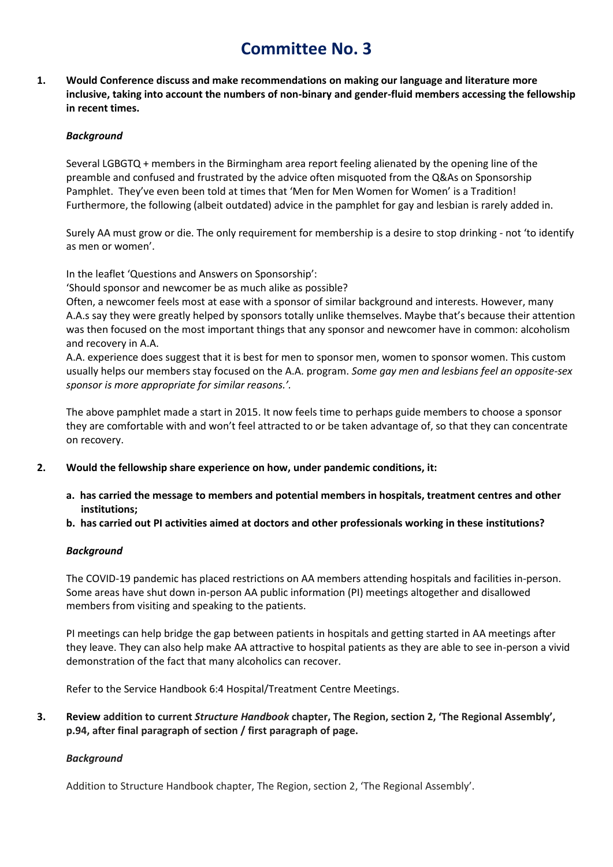**1. Would Conference discuss and make recommendations on making our language and literature more inclusive, taking into account the numbers of non-binary and gender-fluid members accessing the fellowship in recent times.**

### *Background*

Several LGBGTQ + members in the Birmingham area report feeling alienated by the opening line of the preamble and confused and frustrated by the advice often misquoted from the Q&As on Sponsorship Pamphlet. They've even been told at times that 'Men for Men Women for Women' is a Tradition! Furthermore, the following (albeit outdated) advice in the pamphlet for gay and lesbian is rarely added in.

Surely AA must grow or die. The only requirement for membership is a desire to stop drinking - not 'to identify as men or women'.

In the leaflet 'Questions and Answers on Sponsorship':

'Should sponsor and newcomer be as much alike as possible?

Often, a newcomer feels most at ease with a sponsor of similar background and interests. However, many A.A.s say they were greatly helped by sponsors totally unlike themselves. Maybe that's because their attention was then focused on the most important things that any sponsor and newcomer have in common: alcoholism and recovery in A.A.

A.A. experience does suggest that it is best for men to sponsor men, women to sponsor women. This custom usually helps our members stay focused on the A.A. program. *Some gay men and lesbians feel an opposite-sex sponsor is more appropriate for similar reasons.'.*

The above pamphlet made a start in 2015. It now feels time to perhaps guide members to choose a sponsor they are comfortable with and won't feel attracted to or be taken advantage of, so that they can concentrate on recovery.

- **2. Would the fellowship share experience on how, under pandemic conditions, it:**
	- **a. has carried the message to members and potential members in hospitals, treatment centres and other institutions;**
	- **b. has carried out PI activities aimed at doctors and other professionals working in these institutions?**

### *Background*

The COVID-19 pandemic has placed restrictions on AA members attending hospitals and facilities in-person. Some areas have shut down in-person AA public information (PI) meetings altogether and disallowed members from visiting and speaking to the patients.

PI meetings can help bridge the gap between patients in hospitals and getting started in AA meetings after they leave. They can also help make AA attractive to hospital patients as they are able to see in-person a vivid demonstration of the fact that many alcoholics can recover.

Refer to the Service Handbook 6:4 Hospital/Treatment Centre Meetings.

# **3. Review addition to current** *Structure Handbook* **chapter, The Region, section 2, 'The Regional Assembly', p.94, after final paragraph of section / first paragraph of page.**

# *Background*

Addition to Structure Handbook chapter, The Region, section 2, 'The Regional Assembly'.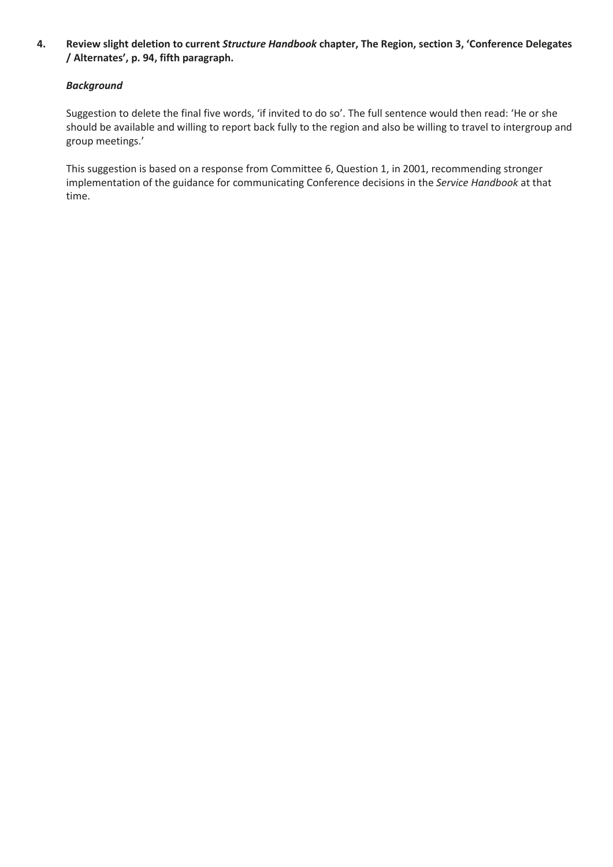# **4. Review slight deletion to current** *Structure Handbook* **chapter, The Region, section 3, 'Conference Delegates / Alternates', p. 94, fifth paragraph.**

# *Background*

Suggestion to delete the final five words, 'if invited to do so'. The full sentence would then read: 'He or she should be available and willing to report back fully to the region and also be willing to travel to intergroup and group meetings.'

This suggestion is based on a response from Committee 6, Question 1, in 2001, recommending stronger implementation of the guidance for communicating Conference decisions in the *Service Handbook* at that time.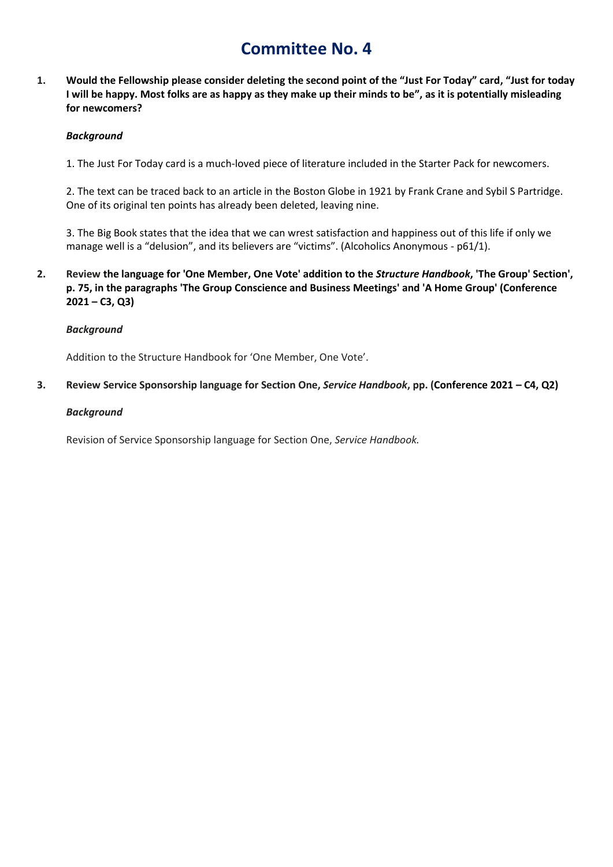**1. Would the Fellowship please consider deleting the second point of the "Just For Today" card, "Just for today I will be happy. Most folks are as happy as they make up their minds to be", as it is potentially misleading for newcomers?** 

### *Background*

1. The Just For Today card is a much-loved piece of literature included in the Starter Pack for newcomers.

2. The text can be traced back to an article in the Boston Globe in 1921 by Frank Crane and Sybil S Partridge. One of its original ten points has already been deleted, leaving nine.

3. The Big Book states that the idea that we can wrest satisfaction and happiness out of this life if only we manage well is a "delusion", and its believers are "victims". (Alcoholics Anonymous - p61/1).

**2. Review the language for 'One Member, One Vote' addition to the** *Structure Handbook***, 'The Group' Section', p. 75, in the paragraphs 'The Group Conscience and Business Meetings' and 'A Home Group' (Conference 2021 – C3, Q3)**

### *Background*

Addition to the Structure Handbook for 'One Member, One Vote'.

**3. Review Service Sponsorship language for Section One,** *Service Handbook***, pp. (Conference 2021 – C4, Q2)**

### *Background*

Revision of Service Sponsorship language for Section One, *Service Handbook.*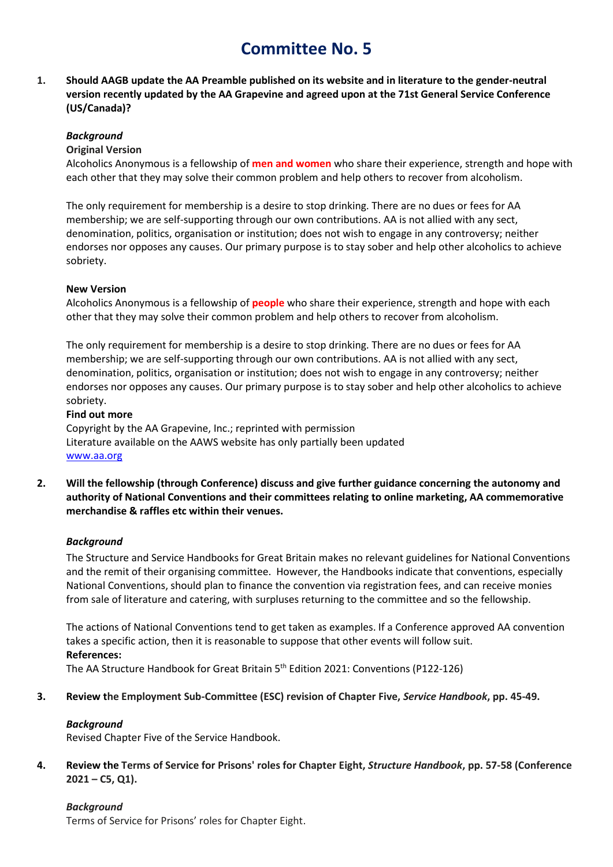**1. Should AAGB update the AA Preamble published on its website and in literature to the gender-neutral version recently updated by the AA Grapevine and agreed upon at the 71st General Service Conference (US/Canada)?**

### *Background*

### **Original Version**

Alcoholics Anonymous is a fellowship of **men and women** who share their experience, strength and hope with each other that they may solve their common problem and help others to recover from alcoholism.

The only requirement for membership is a desire to stop drinking. There are no dues or fees for AA membership; we are self-supporting through our own contributions. AA is not allied with any sect, denomination, politics, organisation or institution; does not wish to engage in any controversy; neither endorses nor opposes any causes. Our primary purpose is to stay sober and help other alcoholics to achieve sobriety.

### **New Version**

Alcoholics Anonymous is a fellowship of **people** who share their experience, strength and hope with each other that they may solve their common problem and help others to recover from alcoholism.

The only requirement for membership is a desire to stop drinking. There are no dues or fees for AA membership; we are self-supporting through our own contributions. AA is not allied with any sect, denomination, politics, organisation or institution; does not wish to engage in any controversy; neither endorses nor opposes any causes. Our primary purpose is to stay sober and help other alcoholics to achieve sobriety.

### **Find out more**

Copyright by the AA Grapevine, Inc.; reprinted with permission Literature available on the AAWS website has only partially been updated [www.aa.org](http://www.aa.org/)

**2. Will the fellowship (through Conference) discuss and give further guidance concerning the autonomy and authority of National Conventions and their committees relating to online marketing, AA commemorative merchandise & raffles etc within their venues.**

# *Background*

The Structure and Service Handbooks for Great Britain makes no relevant guidelines for National Conventions and the remit of their organising committee. However, the Handbooks indicate that conventions, especially National Conventions, should plan to finance the convention via registration fees, and can receive monies from sale of literature and catering, with surpluses returning to the committee and so the fellowship.

The actions of National Conventions tend to get taken as examples. If a Conference approved AA convention takes a specific action, then it is reasonable to suppose that other events will follow suit. **References:**

The AA Structure Handbook for Great Britain 5th Edition 2021: Conventions (P122-126)

**3. Review the Employment Sub-Committee (ESC) revision of Chapter Five,** *Service Handbook***, pp. 45-49.**

### *Background*

Revised Chapter Five of the Service Handbook.

**4. Review the Terms of Service for Prisons' roles for Chapter Eight,** *Structure Handbook***, pp. 57-58 (Conference 2021 – C5, Q1).**

# *Background*

Terms of Service for Prisons' roles for Chapter Eight.